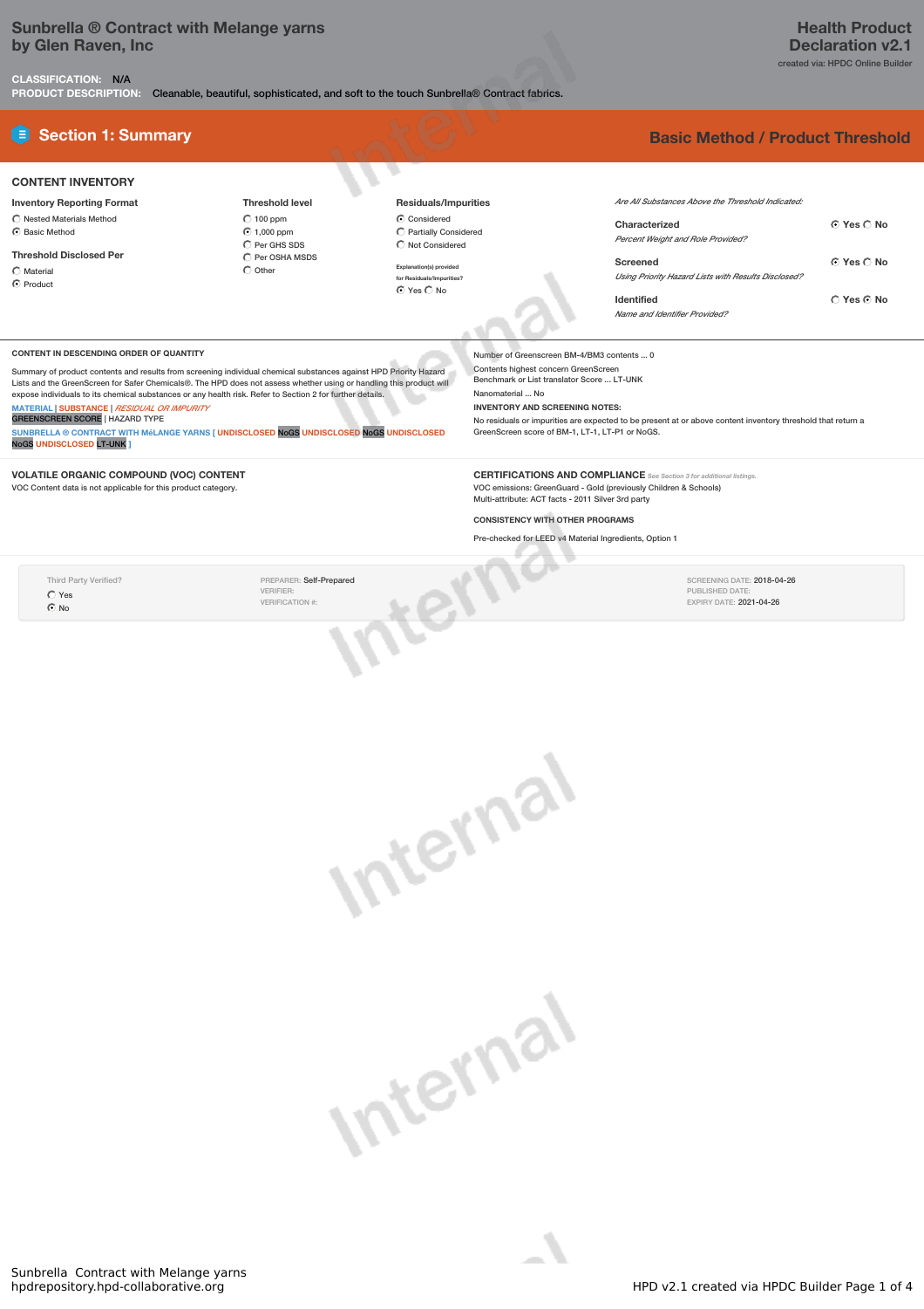# **Sunbrella ® Contract with Melange yarns by Glen Raven, Inc**

**CLASSIFICATION:** N/A

**PRODUCT DESCRIPTION:** Cleanable, beautiful, sophisticated, and soft to the touch Sunbrella® Contract fabrics.

### **CONTENT INVENTORY**

**Inventory Reporting Format**  $\overline{\bigcirc}$  Nested Materials Method  $\odot$  Basic Method

#### **Threshold Disclosed Per**

Material C Product

#### **Threshold level** 100 ppm 1,000 ppm  $\overline{C}$  Per GHS SDS  $\hat{C}$  Per OSHA MSDS  $\bigcirc$  Other

## **Residuals/Impurities**

 $\overline{\odot}$  Considered Partially Considered  $\overline{\bigcirc}$  Not Considered

**Explanation(s) provided for Residuals/Impurities?**  $Q$  Yes  $Q$  No.

# **E** Section 1: Summary **Basic Method /** Product Threshold

| Are All Substances Above the Threshold Indicated:   |                      |
|-----------------------------------------------------|----------------------|
| Characterized                                       | $\cap$ Yes $\cap$ No |
| <b>Percent Weight and Role Provided?</b>            |                      |
| Screened                                            | © Yes ∩ No           |
| Using Priority Hazard Lists with Results Disclosed? |                      |
| <b>Identified</b>                                   | $\cap$ Yes $\cap$ No |
| Name and Identifier Provided?                       |                      |

SCREENING DATE: 2018-04-26 PUBLISHED DATE: EXPIRY DATE: 2021-04-26

#### **CONTENT IN DESCENDING ORDER OF QUANTITY**

Summary of product contents and results from screening individual chemical substances against HPD Priority Hazard<br>Lists and the GreenScreen for Safer Chemicals®. The HPD does not assess whether using or handling this produ expose individuals to its chemical substances or any health risk. Refer to Section 2 for further details.

**MATERIAL** | **SUBSTANCE** | *RESIDUAL OR IMPURITY* GREENSCREEN SCORE | HAZARD TYPE

**SUNBRELLA ® CONTRACT WITH MéLANGE YARNS [ UNDISCLOSED** NoGS **UNDISCLOSED** NoGS **UNDISCLOSED** NoGS **UNDISCLOSED** LT-UNK **]**

**VOLATILE ORGANIC COMPOUND (VOC) CONTENT** VOC Content data is not applicable for this product category.

Number of Greenscreen BM-4/BM3 contents ... 0 Contents highest concern GreenScreen Benchmark or List translator Score ... LT-UNK Nanomaterial ... No **INVENTORY AND SCREENING NOTES:** No residuals or impurities are expected to be present at or above content inventory threshold that return a GreenScreen score of BM-1, LT-1, LT-P1 or NoGS.

**CERTIFICATIONS AND COMPLIANCE** *See Section <sup>3</sup> for additional listings.* VOC emissions: GreenGuard - Gold (previously Children & Schools) Multi-attribute: ACT facts - 2011 Silver 3rd party

### **CONSISTENCY WITH OTHER PROGRAMS**

 $\mathcal{L}$ 

Pre-checked for LEED v4 Material Ingredients, Option 1

Third Party Verified? Yes  $\overline{6}$  No

PREPARER: Self-Prepared VERIFIER: VERIFICATION #:



tern

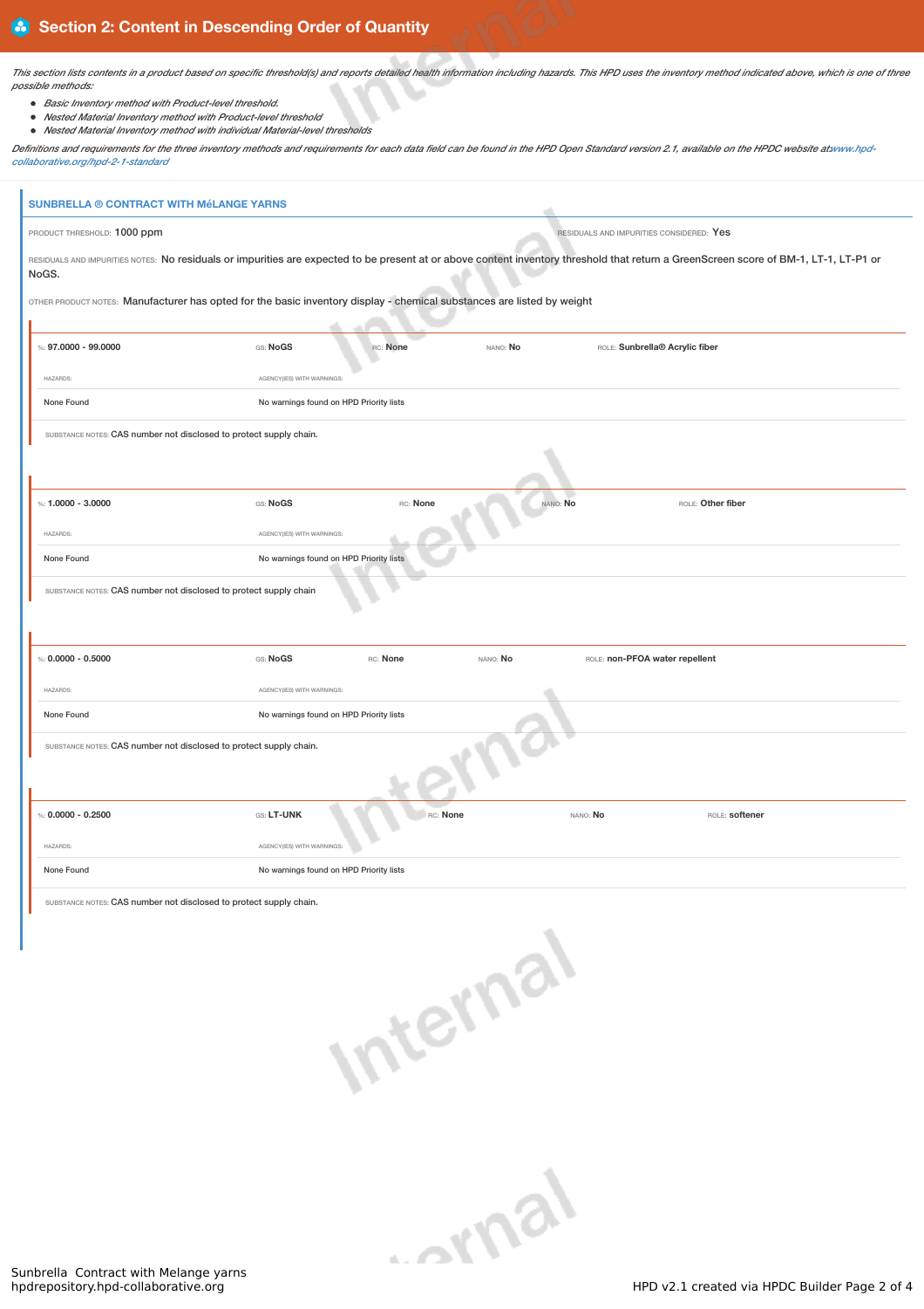This section lists contents in a product based on specific threshold(s) and reports detailed health information including hazards. This HPD uses the inventory method indicated above, which is one of three *possible methods:*

- *Basic Inventory method with Product-level threshold.*
- *Nested Material Inventory method with Product-level threshold*
- *Nested Material Inventory method with individual Material-level thresholds*

Definitions and requirements for the three inventory methods and requirements for each data field can be found in the HPD Open Standard version 2.1, available on the HPDC website atwww.hpd*collaborative.org/hpd-2-1-standard*

| <b>SUNBRELLA ® CONTRACT WITH MéLANGE YARNS</b>                                                                                                                                                 |                                         |                                          |          |                                |                   |
|------------------------------------------------------------------------------------------------------------------------------------------------------------------------------------------------|-----------------------------------------|------------------------------------------|----------|--------------------------------|-------------------|
| PRODUCT THRESHOLD: 1000 ppm                                                                                                                                                                    |                                         | RESIDUALS AND IMPURITIES CONSIDERED: Yes |          |                                |                   |
| RESIDUALS AND IMPURITIES NOTES: No residuals or impurities are expected to be present at or above content inventory threshold that return a GreenScreen score of BM-1, LT-1, LT-P1 or<br>NoGS. |                                         |                                          |          |                                |                   |
| OTHER PRODUCT NOTES: Manufacturer has opted for the basic inventory display - chemical substances are listed by weight                                                                         |                                         |                                          |          |                                |                   |
|                                                                                                                                                                                                |                                         |                                          |          |                                |                   |
| %: $97.0000 - 99.0000$                                                                                                                                                                         | GS: NoGS                                | RC: None                                 | NANO: No | ROLE: Sunbrella® Acrylic fiber |                   |
| HAZARDS:                                                                                                                                                                                       | AGENCY(IES) WITH WARNINGS:              |                                          |          |                                |                   |
| None Found                                                                                                                                                                                     | No warnings found on HPD Priority lists |                                          |          |                                |                   |
| SUBSTANCE NOTES: CAS number not disclosed to protect supply chain.                                                                                                                             |                                         |                                          |          |                                |                   |
|                                                                                                                                                                                                |                                         |                                          |          |                                |                   |
|                                                                                                                                                                                                |                                         |                                          |          |                                |                   |
| %: $1.0000 - 3.0000$                                                                                                                                                                           | GS: NoGS                                | RC: None                                 | NANO: No |                                | ROLE: Other fiber |
| HAZARDS:                                                                                                                                                                                       | AGENCY(IES) WITH WARNINGS:              |                                          |          |                                |                   |
| No warnings found on HPD Priority lists<br>None Found                                                                                                                                          |                                         |                                          |          |                                |                   |
| SUBSTANCE NOTES: CAS number not disclosed to protect supply chain                                                                                                                              |                                         |                                          |          |                                |                   |
|                                                                                                                                                                                                |                                         |                                          |          |                                |                   |
|                                                                                                                                                                                                |                                         |                                          |          |                                |                   |
| %: $0.0000 - 0.5000$                                                                                                                                                                           | GS: NoGS                                | RC: None                                 | NANO: No | ROLE: non-PFOA water repellent |                   |
| HAZARDS:                                                                                                                                                                                       | AGENCY(IES) WITH WARNINGS:              |                                          |          |                                |                   |
| None Found                                                                                                                                                                                     | No warnings found on HPD Priority lists |                                          |          |                                |                   |
| SUBSTANCE NOTES: CAS number not disclosed to protect supply chain.                                                                                                                             |                                         |                                          |          |                                |                   |
|                                                                                                                                                                                                |                                         |                                          |          |                                |                   |
|                                                                                                                                                                                                |                                         |                                          |          |                                |                   |
| %: $0.0000 - 0.2500$                                                                                                                                                                           | GS: LT-UNK                              | RC: None                                 |          | NANO: No                       | ROLE: softener    |
| HAZARDS:                                                                                                                                                                                       | AGENCY(IES) WITH WARNINGS:              |                                          |          |                                |                   |
| None Found                                                                                                                                                                                     | No warnings found on HPD Priority lists |                                          |          |                                |                   |
|                                                                                                                                                                                                |                                         |                                          |          |                                |                   |

ICE NOTES: CAS number not disclosed to protect supply chain.



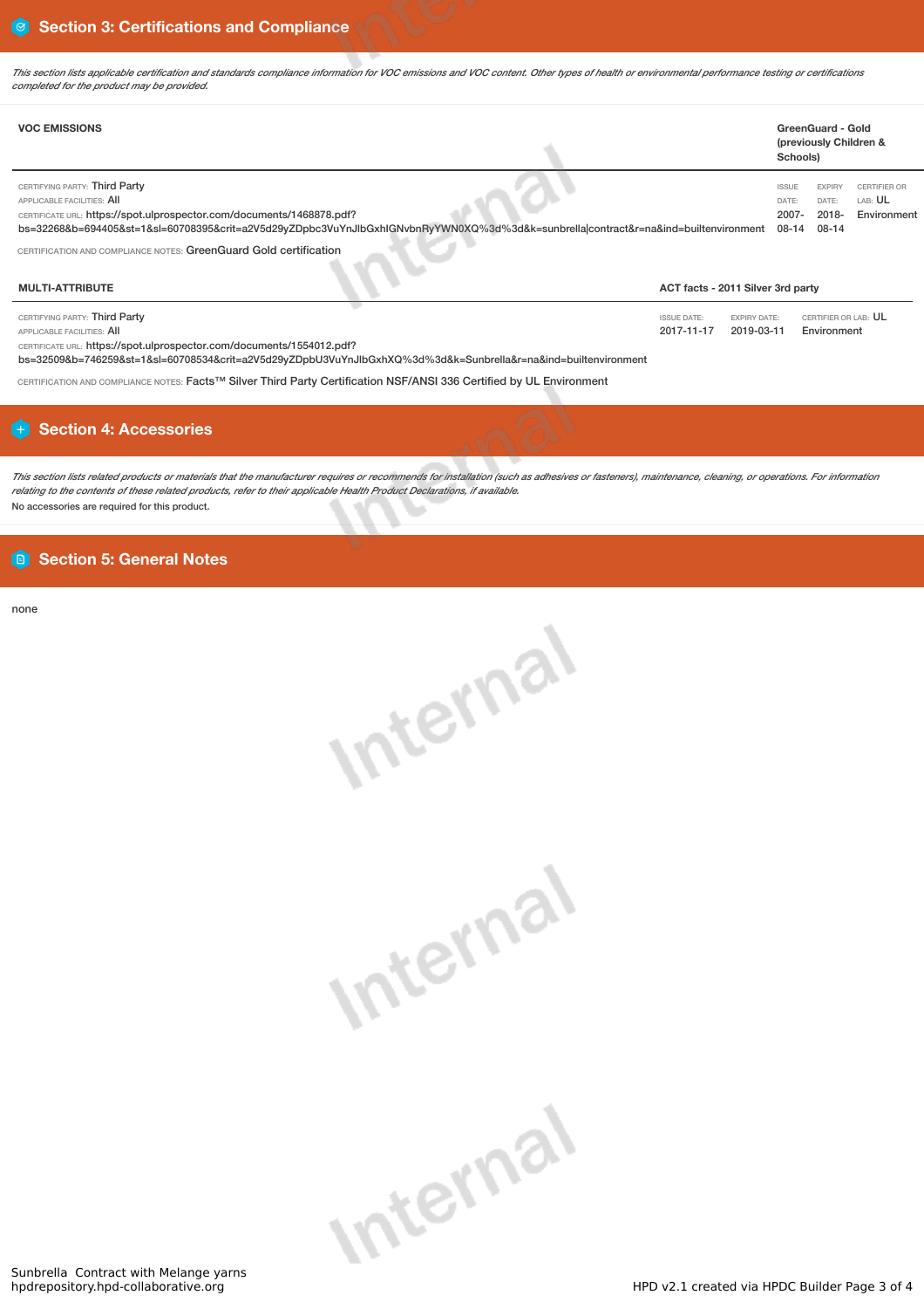This section lists applicable certification and standards compliance information for VOC emissions and VOC content. Other types of health or environmental performance testing or certifications *completed for the product may be provided.*

| <b>VOC EMISSIONS</b>                                                                                                                                                                                                                                                        |                                                                       | GreenGuard - Gold<br>(previously Children &<br>Schools)                                                                                 |  |  |
|-----------------------------------------------------------------------------------------------------------------------------------------------------------------------------------------------------------------------------------------------------------------------------|-----------------------------------------------------------------------|-----------------------------------------------------------------------------------------------------------------------------------------|--|--|
| CERTIFYING PARTY: Third Party<br>APPLICABLE FACILITIES: AII<br>CERTIFICATE URL: https://spot.ulprospector.com/documents/1468878.pdf?<br>bs=32268&b=694405&st=1&sl=60708395&crit=a2V5d29yZDpbc3VuYnJlbGxhlGNvbnRyYWN0XQ%3d%3d&k=sunbrellalcontract&r=na&ind=builtenvironment |                                                                       | <b>ISSUE</b><br><b>CERTIFIER OR</b><br><b>EXPIRY</b><br>LAB: UL<br>DATE:<br>DATE:<br>2007-<br>$2018 -$<br>Environment<br>08-14<br>08-14 |  |  |
| CERTIFICATION AND COMPLIANCE NOTES: GreenGuard Gold certification                                                                                                                                                                                                           |                                                                       |                                                                                                                                         |  |  |
| <b>MULTI-ATTRIBUTE</b>                                                                                                                                                                                                                                                      |                                                                       | ACT facts - 2011 Silver 3rd party                                                                                                       |  |  |
| CERTIFYING PARTY: Third Party<br><b>APPLICABLE FACILITIES: AII</b><br>CERTIFICATE URL: https://spot.ulprospector.com/documents/1554012.pdf?<br>bs=32509&b=746259&st=1&sl=60708534&crit=a2V5d29yZDpbU3VuYnJlbGxhXQ%3d%3d&k=Sunbrella&r=na&ind=builtenvironment               | <b>ISSUE DATE:</b><br><b>EXPIRY DATE:</b><br>2017-11-17<br>2019-03-11 | CERTIFIER OR LAB: UL<br>Environment                                                                                                     |  |  |

CERTIFICATION AND COMPLIANCE NOTES: Facts™ Silver Third Party Certification NSF/ANSI 336 Certified by UL Environment

# **Section 4: Accessories**

This section lists related products or materials that the manufacturer requires or recommends for installation (such as adhesives or fasteners), maintenance, cleaning, or operations. For information relating to the contents of these related products, refer to their applicable Health Product Declarations, if available. No accessories are required for this product.

# **Section 5: General Notes**

none